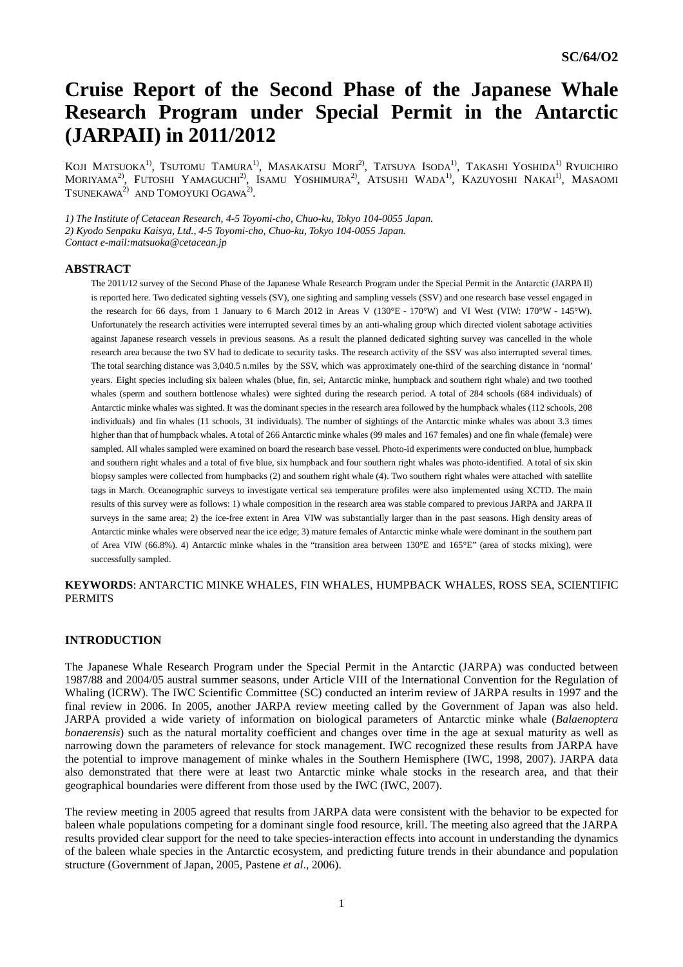# **Cruise Report of the Second Phase of the Japanese Whale Research Program under Special Permit in the Antarctic (JARPAII) in 2011/2012**

KOJI MATSUOKA<sup>1)</sup>, TSUTOMU TAMURA<sup>1)</sup>, MASAKATSU MORI<sup>2)</sup>, TATSUYA ISODA<sup>1)</sup>, TAKASHI YOSHIDA<sup>1)</sup> RYUICHIRO MORIYAMA<sup>2)</sup>, Futoshi Yamaguchi<sup>2)</sup>, Isamu Yoshimura<sup>2)</sup>, Atsushi Wada<sup>1)</sup>, Kazuyoshi Nakai<sup>1)</sup>, Masaomi TSUNEKAWA $^{2)}$  AND TOMOYUKI OGAWA $^{2)}$ .

*1) The Institute of Cetacean Research, 4-5 Toyomi-cho, Chuo-ku, Tokyo 104-0055 Japan.* 

*2) Kyodo Senpaku Kaisya, Ltd., 4-5 Toyomi-cho, Chuo-ku, Tokyo 104-0055 Japan.* 

*Contact e-mail:matsuoka@cetacean.jp* 

## **ABSTRACT**

The 2011/12 survey of the Second Phase of the Japanese Whale Research Program under the Special Permit in the Antarctic (JARPA II) is reported here. Two dedicated sighting vessels (SV), one sighting and sampling vessels (SSV) and one research base vessel engaged in the research for 66 days, from 1 January to 6 March 2012 in Areas V (130°E - 170°W) and VI West (VIW: 170°W - 145°W). Unfortunately the research activities were interrupted several times by an anti-whaling group which directed violent sabotage activities against Japanese research vessels in previous seasons. As a result the planned dedicated sighting survey was cancelled in the whole research area because the two SV had to dedicate to security tasks. The research activity of the SSV was also interrupted several times. The total searching distance was 3,040.5 n.miles by the SSV, which was approximately one-third of the searching distance in 'normal' years. Eight species including six baleen whales (blue, fin, sei, Antarctic minke, humpback and southern right whale) and two toothed whales (sperm and southern bottlenose whales) were sighted during the research period. A total of 284 schools (684 individuals) of Antarctic minke whales was sighted. It was the dominant species in the research area followed by the humpback whales (112 schools, 208 individuals) and fin whales (11 schools, 31 individuals). The number of sightings of the Antarctic minke whales was about 3.3 times higher than that of humpback whales. A total of 266 Antarctic minke whales (99 males and 167 females) and one fin whale (female) were sampled. All whales sampled were examined on board the research base vessel. Photo-id experiments were conducted on blue, humpback and southern right whales and a total of five blue, six humpback and four southern right whales was photo-identified. A total of six skin biopsy samples were collected from humpbacks (2) and southern right whale (4). Two southern right whales were attached with satellite tags in March. Oceanographic surveys to investigate vertical sea temperature profiles were also implemented using XCTD. The main results of this survey were as follows: 1) whale composition in the research area was stable compared to previous JARPA and JARPA II surveys in the same area; 2) the ice-free extent in Area VIW was substantially larger than in the past seasons. High density areas of Antarctic minke whales were observed near the ice edge; 3) mature females of Antarctic minke whale were dominant in the southern part of Area VIW (66.8%). 4) Antarctic minke whales in the "transition area between 130°E and 165°E" (area of stocks mixing), were successfully sampled.

**KEYWORDS**: ANTARCTIC MINKE WHALES, FIN WHALES, HUMPBACK WHALES, ROSS SEA, SCIENTIFIC PERMITS

# **INTRODUCTION**

The Japanese Whale Research Program under the Special Permit in the Antarctic (JARPA) was conducted between 1987/88 and 2004/05 austral summer seasons, under Article VIII of the International Convention for the Regulation of Whaling (ICRW). The IWC Scientific Committee (SC) conducted an interim review of JARPA results in 1997 and the final review in 2006. In 2005, another JARPA review meeting called by the Government of Japan was also held. JARPA provided a wide variety of information on biological parameters of Antarctic minke whale (*Balaenoptera bonaerensis*) such as the natural mortality coefficient and changes over time in the age at sexual maturity as well as narrowing down the parameters of relevance for stock management. IWC recognized these results from JARPA have the potential to improve management of minke whales in the Southern Hemisphere (IWC, 1998, 2007). JARPA data also demonstrated that there were at least two Antarctic minke whale stocks in the research area, and that their geographical boundaries were different from those used by the IWC (IWC, 2007).

The review meeting in 2005 agreed that results from JARPA data were consistent with the behavior to be expected for baleen whale populations competing for a dominant single food resource, krill. The meeting also agreed that the JARPA results provided clear support for the need to take species-interaction effects into account in understanding the dynamics of the baleen whale species in the Antarctic ecosystem, and predicting future trends in their abundance and population structure (Government of Japan, 2005, Pastene *et al*., 2006).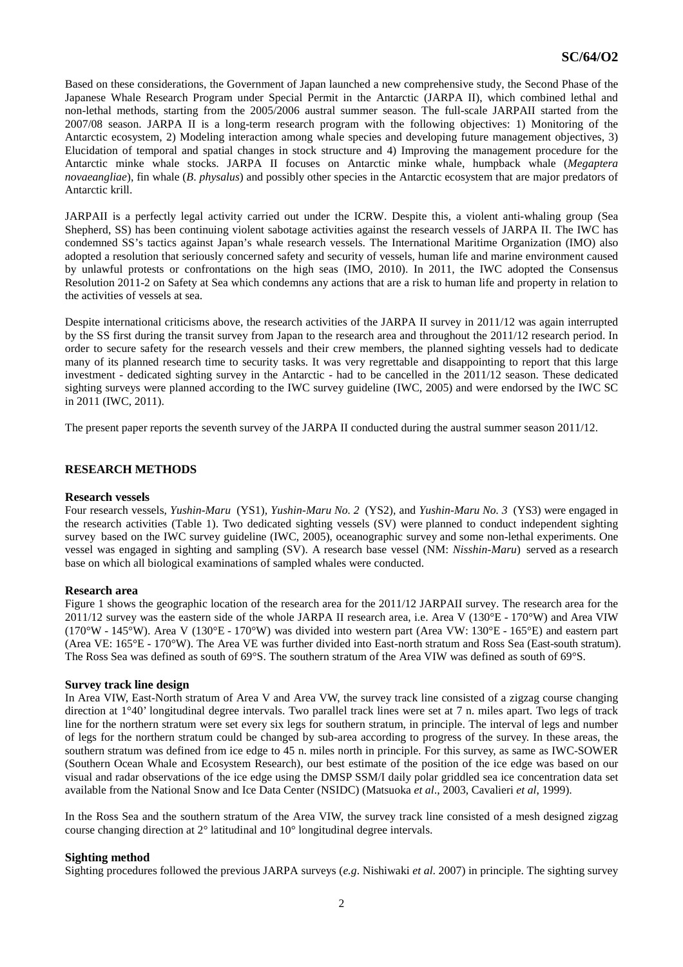Based on these considerations, the Government of Japan launched a new comprehensive study, the Second Phase of the Japanese Whale Research Program under Special Permit in the Antarctic (JARPA II), which combined lethal and non-lethal methods, starting from the 2005/2006 austral summer season. The full-scale JARPAII started from the 2007/08 season. JARPA II is a long-term research program with the following objectives: 1) Monitoring of the Antarctic ecosystem, 2) Modeling interaction among whale species and developing future management objectives, 3) Elucidation of temporal and spatial changes in stock structure and 4) Improving the management procedure for the Antarctic minke whale stocks. JARPA II focuses on Antarctic minke whale, humpback whale (*Megaptera novaeangliae*), fin whale (*B*. *physalus*) and possibly other species in the Antarctic ecosystem that are major predators of Antarctic krill.

JARPAII is a perfectly legal activity carried out under the ICRW. Despite this, a violent anti-whaling group (Sea Shepherd, SS) has been continuing violent sabotage activities against the research vessels of JARPA II. The IWC has condemned SS's tactics against Japan's whale research vessels. The International Maritime Organization (IMO) also adopted a resolution that seriously concerned safety and security of vessels, human life and marine environment caused by unlawful protests or confrontations on the high seas (IMO, 2010). In 2011, the IWC adopted the Consensus Resolution 2011-2 on Safety at Sea which condemns any actions that are a risk to human life and property in relation to the activities of vessels at sea.

Despite international criticisms above, the research activities of the JARPA II survey in 2011/12 was again interrupted by the SS first during the transit survey from Japan to the research area and throughout the 2011/12 research period. In order to secure safety for the research vessels and their crew members, the planned sighting vessels had to dedicate many of its planned research time to security tasks. It was very regrettable and disappointing to report that this large investment - dedicated sighting survey in the Antarctic - had to be cancelled in the 2011/12 season. These dedicated sighting surveys were planned according to the IWC survey guideline (IWC, 2005) and were endorsed by the IWC SC in 2011 (IWC, 2011).

The present paper reports the seventh survey of the JARPA II conducted during the austral summer season 2011/12.

# **RESEARCH METHODS**

# **Research vessels**

Four research vessels, *Yushin-Maru* (YS1)*, Yushin-Maru No. 2* (YS2)*,* and *Yushin-Maru No. 3* (YS3) were engaged in the research activities (Table 1). Two dedicated sighting vessels (SV) were planned to conduct independent sighting survey based on the IWC survey guideline (IWC, 2005), oceanographic survey and some non-lethal experiments. One vessel was engaged in sighting and sampling (SV). A research base vessel (NM: *Nisshin-Maru*) served as a research base on which all biological examinations of sampled whales were conducted.

# **Research area**

Figure 1 shows the geographic location of the research area for the 2011/12 JARPAII survey. The research area for the 2011/12 survey was the eastern side of the whole JARPA II research area, i.e. Area V (130°E - 170°W) and Area VIW (170°W - 145°W). Area V (130°E - 170°W) was divided into western part (Area VW: 130°E - 165°E) and eastern part (Area VE: 165°E - 170°W). The Area VE was further divided into East-north stratum and Ross Sea (East-south stratum). The Ross Sea was defined as south of 69°S. The southern stratum of the Area VIW was defined as south of 69°S.

#### **Survey track line design**

In Area VIW, East-North stratum of Area V and Area VW, the survey track line consisted of a zigzag course changing direction at 1°40' longitudinal degree intervals. Two parallel track lines were set at 7 n. miles apart. Two legs of track line for the northern stratum were set every six legs for southern stratum, in principle. The interval of legs and number of legs for the northern stratum could be changed by sub-area according to progress of the survey. In these areas, the southern stratum was defined from ice edge to 45 n. miles north in principle. For this survey, as same as IWC-SOWER (Southern Ocean Whale and Ecosystem Research), our best estimate of the position of the ice edge was based on our visual and radar observations of the ice edge using the DMSP SSM/I daily polar griddled sea ice concentration data set available from the National Snow and Ice Data Center (NSIDC) (Matsuoka *et al*., 2003, Cavalieri *et al*, 1999).

In the Ross Sea and the southern stratum of the Area VIW, the survey track line consisted of a mesh designed zigzag course changing direction at 2° latitudinal and 10° longitudinal degree intervals.

# **Sighting method**

Sighting procedures followed the previous JARPA surveys (*e.g*. Nishiwaki *et al*. 2007) in principle. The sighting survey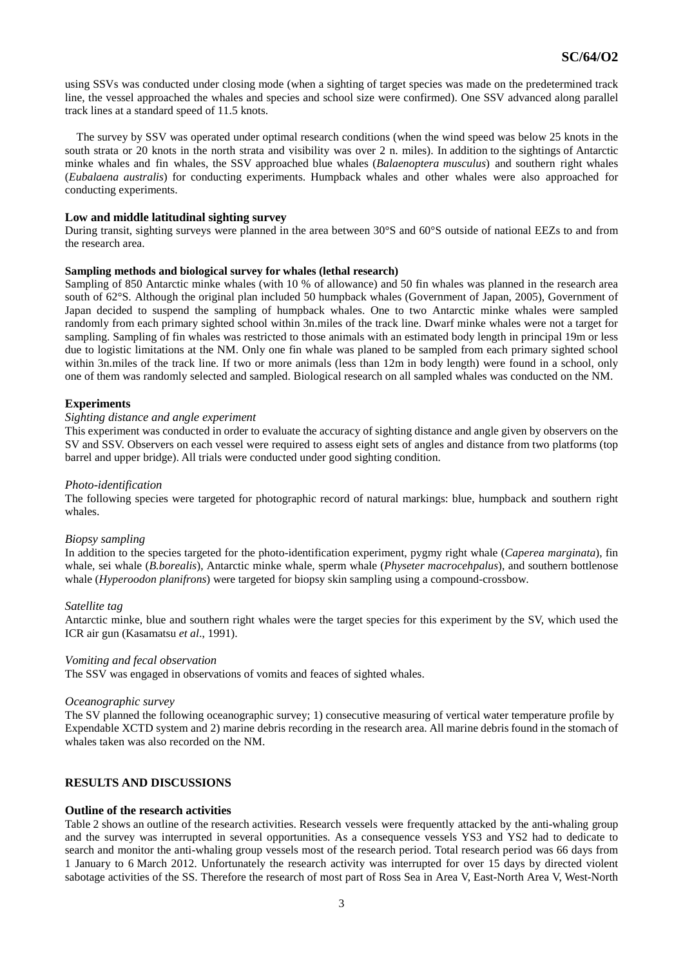using SSVs was conducted under closing mode (when a sighting of target species was made on the predetermined track line, the vessel approached the whales and species and school size were confirmed). One SSV advanced along parallel track lines at a standard speed of 11.5 knots.

The survey by SSV was operated under optimal research conditions (when the wind speed was below 25 knots in the south strata or 20 knots in the north strata and visibility was over 2 n. miles). In addition to the sightings of Antarctic minke whales and fin whales, the SSV approached blue whales (*Balaenoptera musculus*) and southern right whales (*Eubalaena australis*) for conducting experiments. Humpback whales and other whales were also approached for conducting experiments.

#### **Low and middle latitudinal sighting survey**

During transit, sighting surveys were planned in the area between 30°S and 60°S outside of national EEZs to and from the research area.

#### **Sampling methods and biological survey for whales (lethal research)**

Sampling of 850 Antarctic minke whales (with 10 % of allowance) and 50 fin whales was planned in the research area south of 62°S. Although the original plan included 50 humpback whales (Government of Japan, 2005), Government of Japan decided to suspend the sampling of humpback whales. One to two Antarctic minke whales were sampled randomly from each primary sighted school within 3n.miles of the track line. Dwarf minke whales were not a target for sampling. Sampling of fin whales was restricted to those animals with an estimated body length in principal 19m or less due to logistic limitations at the NM. Only one fin whale was planed to be sampled from each primary sighted school within 3n.miles of the track line. If two or more animals (less than 12m in body length) were found in a school, only one of them was randomly selected and sampled. Biological research on all sampled whales was conducted on the NM.

#### **Experiments**

#### *Sighting distance and angle experiment*

This experiment was conducted in order to evaluate the accuracy of sighting distance and angle given by observers on the SV and SSV. Observers on each vessel were required to assess eight sets of angles and distance from two platforms (top barrel and upper bridge). All trials were conducted under good sighting condition.

#### *Photo-identification*

The following species were targeted for photographic record of natural markings: blue, humpback and southern right whales.

## *Biopsy sampling*

In addition to the species targeted for the photo-identification experiment, pygmy right whale (*Caperea marginata*), fin whale, sei whale (*B.borealis*), Antarctic minke whale, sperm whale (*Physeter macrocehpalus*), and southern bottlenose whale (*Hyperoodon planifrons*) were targeted for biopsy skin sampling using a compound-crossbow.

#### *Satellite tag*

Antarctic minke, blue and southern right whales were the target species for this experiment by the SV, which used the ICR air gun (Kasamatsu *et al*., 1991).

#### *Vomiting and fecal observation*

The SSV was engaged in observations of vomits and feaces of sighted whales.

#### *Oceanographic survey*

The SV planned the following oceanographic survey; 1) consecutive measuring of vertical water temperature profile by Expendable XCTD system and 2) marine debris recording in the research area. All marine debris found in the stomach of whales taken was also recorded on the NM.

#### **RESULTS AND DISCUSSIONS**

#### **Outline of the research activities**

Table 2 shows an outline of the research activities. Research vessels were frequently attacked by the anti-whaling group and the survey was interrupted in several opportunities. As a consequence vessels YS3 and YS2 had to dedicate to search and monitor the anti-whaling group vessels most of the research period. Total research period was 66 days from 1 January to 6 March 2012. Unfortunately the research activity was interrupted for over 15 days by directed violent sabotage activities of the SS. Therefore the research of most part of Ross Sea in Area V, East-North Area V, West-North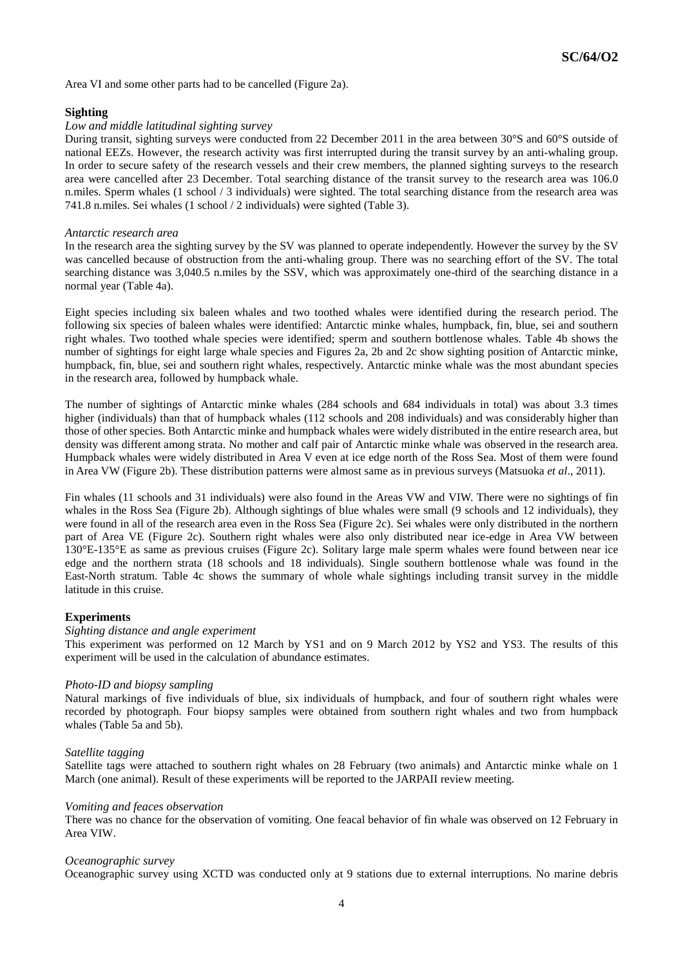Area VI and some other parts had to be cancelled (Figure 2a).

# **Sighting**

## *Low and middle latitudinal sighting survey*

During transit, sighting surveys were conducted from 22 December 2011 in the area between 30°S and 60°S outside of national EEZs. However, the research activity was first interrupted during the transit survey by an anti-whaling group. In order to secure safety of the research vessels and their crew members, the planned sighting surveys to the research area were cancelled after 23 December. Total searching distance of the transit survey to the research area was 106.0 n.miles. Sperm whales (1 school / 3 individuals) were sighted. The total searching distance from the research area was 741.8 n.miles. Sei whales (1 school / 2 individuals) were sighted (Table 3).

## *Antarctic research area*

In the research area the sighting survey by the SV was planned to operate independently. However the survey by the SV was cancelled because of obstruction from the anti-whaling group. There was no searching effort of the SV. The total searching distance was 3,040.5 n.miles by the SSV, which was approximately one-third of the searching distance in a normal year (Table 4a).

Eight species including six baleen whales and two toothed whales were identified during the research period. The following six species of baleen whales were identified: Antarctic minke whales, humpback, fin, blue, sei and southern right whales. Two toothed whale species were identified; sperm and southern bottlenose whales. Table 4b shows the number of sightings for eight large whale species and Figures 2a, 2b and 2c show sighting position of Antarctic minke, humpback, fin, blue, sei and southern right whales, respectively. Antarctic minke whale was the most abundant species in the research area, followed by humpback whale.

The number of sightings of Antarctic minke whales (284 schools and 684 individuals in total) was about 3.3 times higher (individuals) than that of humpback whales (112 schools and 208 individuals) and was considerably higher than those of other species. Both Antarctic minke and humpback whales were widely distributed in the entire research area, but density was different among strata. No mother and calf pair of Antarctic minke whale was observed in the research area. Humpback whales were widely distributed in Area V even at ice edge north of the Ross Sea. Most of them were found in Area VW (Figure 2b). These distribution patterns were almost same as in previous surveys (Matsuoka *et al*., 2011).

Fin whales (11 schools and 31 individuals) were also found in the Areas VW and VIW. There were no sightings of fin whales in the Ross Sea (Figure 2b). Although sightings of blue whales were small (9 schools and 12 individuals), they were found in all of the research area even in the Ross Sea (Figure 2c). Sei whales were only distributed in the northern part of Area VE (Figure 2c). Southern right whales were also only distributed near ice-edge in Area VW between 130°E-135°E as same as previous cruises (Figure 2c). Solitary large male sperm whales were found between near ice edge and the northern strata (18 schools and 18 individuals). Single southern bottlenose whale was found in the East-North stratum. Table 4c shows the summary of whole whale sightings including transit survey in the middle latitude in this cruise.

# **Experiments**

#### *Sighting distance and angle experiment*

This experiment was performed on 12 March by YS1 and on 9 March 2012 by YS2 and YS3. The results of this experiment will be used in the calculation of abundance estimates.

#### *Photo-ID and biopsy sampling*

Natural markings of five individuals of blue, six individuals of humpback, and four of southern right whales were recorded by photograph. Four biopsy samples were obtained from southern right whales and two from humpback whales (Table 5a and 5b).

#### *Satellite tagging*

Satellite tags were attached to southern right whales on 28 February (two animals) and Antarctic minke whale on 1 March (one animal). Result of these experiments will be reported to the JARPAII review meeting.

#### *Vomiting and feaces observation*

There was no chance for the observation of vomiting. One feacal behavior of fin whale was observed on 12 February in Area VIW.

#### *Oceanographic survey*

Oceanographic survey using XCTD was conducted only at 9 stations due to external interruptions. No marine debris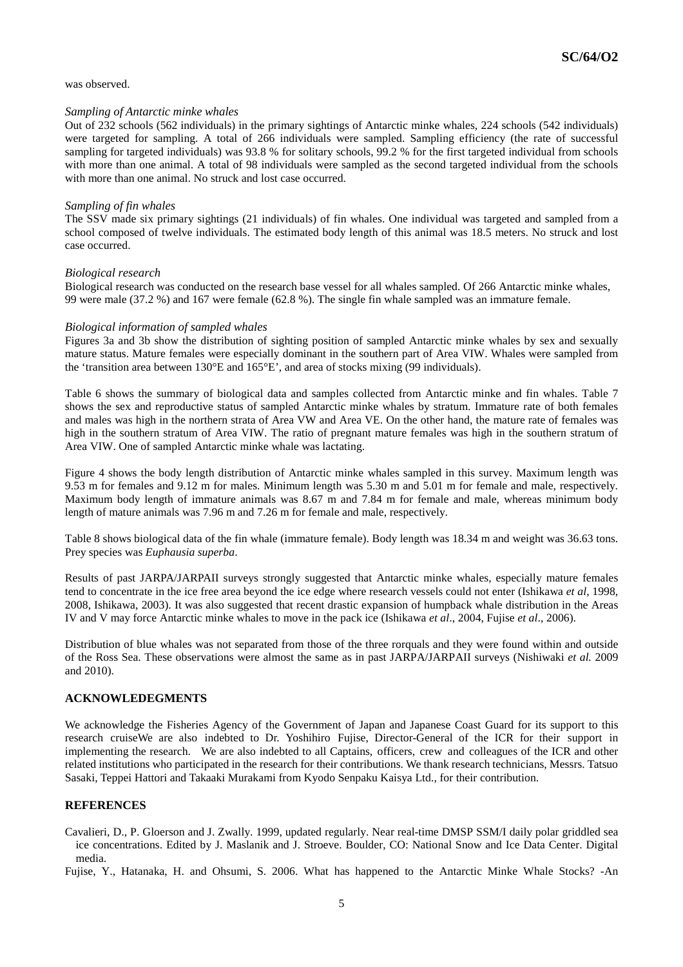was observed.

## *Sampling of Antarctic minke whales*

Out of 232 schools (562 individuals) in the primary sightings of Antarctic minke whales, 224 schools (542 individuals) were targeted for sampling. A total of 266 individuals were sampled. Sampling efficiency (the rate of successful sampling for targeted individuals) was 93.8 % for solitary schools, 99.2 % for the first targeted individual from schools with more than one animal. A total of 98 individuals were sampled as the second targeted individual from the schools with more than one animal. No struck and lost case occurred.

## *Sampling of fin whales*

The SSV made six primary sightings (21 individuals) of fin whales. One individual was targeted and sampled from a school composed of twelve individuals. The estimated body length of this animal was 18.5 meters. No struck and lost case occurred.

## *Biological research*

Biological research was conducted on the research base vessel for all whales sampled. Of 266 Antarctic minke whales, 99 were male (37.2 %) and 167 were female (62.8 %). The single fin whale sampled was an immature female.

## *Biological information of sampled whales*

Figures 3a and 3b show the distribution of sighting position of sampled Antarctic minke whales by sex and sexually mature status. Mature females were especially dominant in the southern part of Area VIW. Whales were sampled from the 'transition area between 130°E and 165°E', and area of stocks mixing (99 individuals).

Table 6 shows the summary of biological data and samples collected from Antarctic minke and fin whales. Table 7 shows the sex and reproductive status of sampled Antarctic minke whales by stratum. Immature rate of both females and males was high in the northern strata of Area VW and Area VE. On the other hand, the mature rate of females was high in the southern stratum of Area VIW. The ratio of pregnant mature females was high in the southern stratum of Area VIW. One of sampled Antarctic minke whale was lactating.

Figure 4 shows the body length distribution of Antarctic minke whales sampled in this survey. Maximum length was 9.53 m for females and 9.12 m for males. Minimum length was 5.30 m and 5.01 m for female and male, respectively. Maximum body length of immature animals was 8.67 m and 7.84 m for female and male, whereas minimum body length of mature animals was 7.96 m and 7.26 m for female and male, respectively.

Table 8 shows biological data of the fin whale (immature female). Body length was 18.34 m and weight was 36.63 tons. Prey species was *Euphausia superba*.

Results of past JARPA/JARPAII surveys strongly suggested that Antarctic minke whales, especially mature females tend to concentrate in the ice free area beyond the ice edge where research vessels could not enter (Ishikawa *et al*, 1998, 2008, Ishikawa, 2003). It was also suggested that recent drastic expansion of humpback whale distribution in the Areas IV and V may force Antarctic minke whales to move in the pack ice (Ishikawa *et al*., 2004, Fujise *et al*., 2006).

Distribution of blue whales was not separated from those of the three rorquals and they were found within and outside of the Ross Sea. These observations were almost the same as in past JARPA/JARPAII surveys (Nishiwaki *et al.* 2009 and 2010).

# **ACKNOWLEDEGMENTS**

We acknowledge the Fisheries Agency of the Government of Japan and Japanese Coast Guard for its support to this research cruiseWe are also indebted to Dr. Yoshihiro Fujise, Director-General of the ICR for their support in implementing the research. We are also indebted to all Captains, officers, crew and colleagues of the ICR and other related institutions who participated in the research for their contributions. We thank research technicians, Messrs. Tatsuo Sasaki, Teppei Hattori and Takaaki Murakami from Kyodo Senpaku Kaisya Ltd., for their contribution.

# **REFERENCES**

Cavalieri, D., P. Gloerson and J. Zwally. 1999, updated regularly. Near real-time DMSP SSM/I daily polar griddled sea ice concentrations. Edited by J. Maslanik and J. Stroeve. Boulder, CO: National Snow and Ice Data Center. Digital media.

Fujise, Y., Hatanaka, H. and Ohsumi, S. 2006. What has happened to the Antarctic Minke Whale Stocks? -An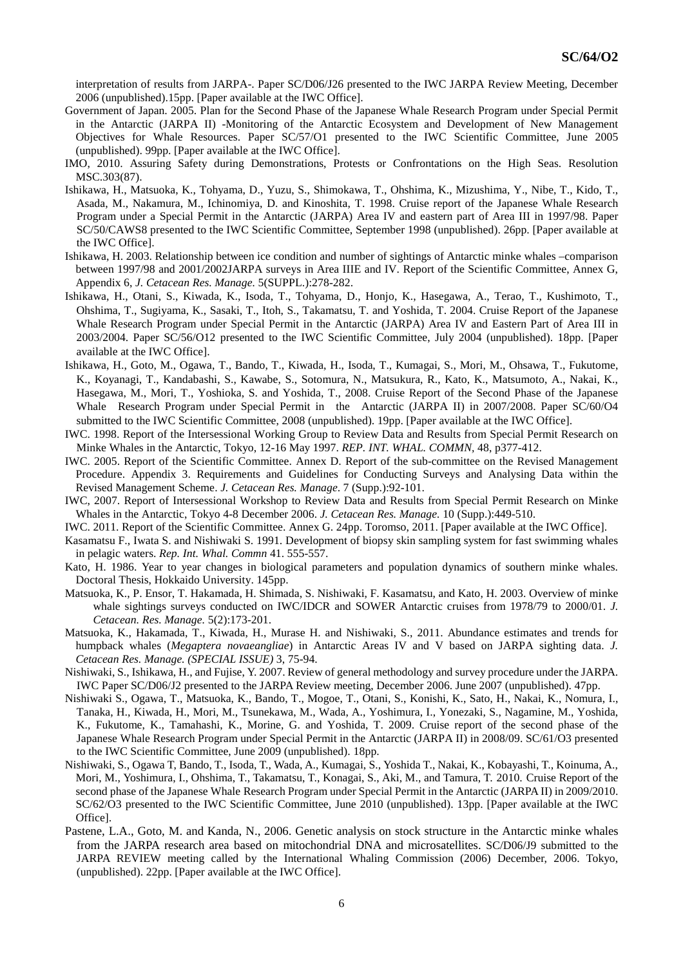interpretation of results from JARPA-. Paper SC/D06/J26 presented to the IWC JARPA Review Meeting, December 2006 (unpublished).15pp. [Paper available at the IWC Office].

- Government of Japan. 2005. Plan for the Second Phase of the Japanese Whale Research Program under Special Permit in the Antarctic (JARPA II) -Monitoring of the Antarctic Ecosystem and Development of New Management Objectives for Whale Resources. Paper SC/57/O1 presented to the IWC Scientific Committee, June 2005 (unpublished). 99pp. [Paper available at the IWC Office].
- IMO, 2010. Assuring Safety during Demonstrations, Protests or Confrontations on the High Seas. Resolution MSC.303(87).
- Ishikawa, H., Matsuoka, K., Tohyama, D., Yuzu, S., Shimokawa, T., Ohshima, K., Mizushima, Y., Nibe, T., Kido, T., Asada, M., Nakamura, M., Ichinomiya, D. and Kinoshita, T. 1998. Cruise report of the Japanese Whale Research Program under a Special Permit in the Antarctic (JARPA) Area IV and eastern part of Area III in 1997/98. Paper SC/50/CAWS8 presented to the IWC Scientific Committee, September 1998 (unpublished). 26pp. [Paper available at the IWC Office].
- Ishikawa, H. 2003. Relationship between ice condition and number of sightings of Antarctic minke whales –comparison between 1997/98 and 2001/2002JARPA surveys in Area IIIE and IV. Report of the Scientific Committee, Annex G, Appendix 6, *J. Cetacean Res. Manage.* 5(SUPPL.):278-282.
- Ishikawa, H., Otani, S., Kiwada, K., Isoda, T., Tohyama, D., Honjo, K., Hasegawa, A., Terao, T., Kushimoto, T., Ohshima, T., Sugiyama, K., Sasaki, T., Itoh, S., Takamatsu, T. and Yoshida, T. 2004. Cruise Report of the Japanese Whale Research Program under Special Permit in the Antarctic (JARPA) Area IV and Eastern Part of Area III in 2003/2004. Paper SC/56/O12 presented to the IWC Scientific Committee, July 2004 (unpublished). 18pp. [Paper available at the IWC Office].
- Ishikawa, H., Goto, M., Ogawa, T., Bando, T., Kiwada, H., Isoda, T., Kumagai, S., Mori, M., Ohsawa, T., Fukutome, K., Koyanagi, T., Kandabashi, S., Kawabe, S., Sotomura, N., Matsukura, R., Kato, K., Matsumoto, A., Nakai, K., Hasegawa, M., Mori, T., Yoshioka, S. and Yoshida, T., 2008. Cruise Report of the Second Phase of the Japanese Whale Research Program under Special Permit in the Antarctic (JARPA II) in 2007/2008. Paper SC/60/O4 submitted to the IWC Scientific Committee, 2008 (unpublished). 19pp. [Paper available at the IWC Office].
- IWC. 1998. Report of the Intersessional Working Group to Review Data and Results from Special Permit Research on Minke Whales in the Antarctic, Tokyo, 12-16 May 1997. *REP. INT. WHAL. COMMN,* 48, p377-412.
- IWC. 2005. Report of the Scientific Committee. Annex D. Report of the sub-committee on the Revised Management Procedure. Appendix 3. Requirements and Guidelines for Conducting Surveys and Analysing Data within the Revised Management Scheme. *J. Cetacean Res. Manage*. 7 (Supp.):92-101.
- IWC, 2007. Report of Intersessional Workshop to Review Data and Results from Special Permit Research on Minke Whales in the Antarctic, Tokyo 4-8 December 2006. *J. Cetacean Res. Manage.* 10 (Supp.):449-510.
- IWC. 2011. Report of the Scientific Committee. Annex G. 24pp. Toromso, 2011. [Paper available at the IWC Office].
- Kasamatsu F., Iwata S. and Nishiwaki S. 1991. Development of biopsy skin sampling system for fast swimming whales in pelagic waters. *Rep. Int. Whal. Commn* 41. 555-557.
- Kato, H. 1986. Year to year changes in biological parameters and population dynamics of southern minke whales. Doctoral Thesis, Hokkaido University. 145pp.
- Matsuoka, K., P. Ensor, T. Hakamada, H. Shimada, S. Nishiwaki, F. Kasamatsu, and Kato, H. 2003. Overview of minke whale sightings surveys conducted on IWC/IDCR and SOWER Antarctic cruises from 1978/79 to 2000/01. *J. Cetacean. Res. Manage.* 5(2):173-201.
- Matsuoka, K., Hakamada, T., Kiwada, H., Murase H. and Nishiwaki, S., 2011. Abundance estimates and trends for humpback whales (*Megaptera novaeangliae*) in Antarctic Areas IV and V based on JARPA sighting data. *J. Cetacean Res. Manage. (SPECIAL ISSUE)* 3, 75-94.
- Nishiwaki, S., Ishikawa, H., and Fujise, Y. 2007. Review of general methodology and survey procedure under the JARPA. IWC Paper SC/D06/J2 presented to the JARPA Review meeting, December 2006. June 2007 (unpublished). 47pp.
- Nishiwaki S., Ogawa, T., Matsuoka, K., Bando, T., Mogoe, T., Otani, S., Konishi, K., Sato, H., Nakai, K., Nomura, I., Tanaka, H., Kiwada, H., Mori, M., Tsunekawa, M., Wada, A., Yoshimura, I., Yonezaki, S., Nagamine, M., Yoshida, K., Fukutome, K., Tamahashi, K., Morine, G. and Yoshida, T. 2009. Cruise report of the second phase of the Japanese Whale Research Program under Special Permit in the Antarctic (JARPA II) in 2008/09. SC/61/O3 presented to the IWC Scientific Committee, June 2009 (unpublished). 18pp.
- Nishiwaki, S., Ogawa T, Bando, T., Isoda, T., Wada, A., Kumagai, S., Yoshida T., Nakai, K., Kobayashi, T., Koinuma, A., Mori, M., Yoshimura, I., Ohshima, T., Takamatsu, T., Konagai, S., Aki, M., and Tamura, T. 2010. Cruise Report of the second phase of the Japanese Whale Research Program under Special Permit in the Antarctic (JARPA II) in 2009/2010. SC/62/O3 presented to the IWC Scientific Committee, June 2010 (unpublished). 13pp. [Paper available at the IWC Office].
- Pastene, L.A., Goto, M. and Kanda, N., 2006. Genetic analysis on stock structure in the Antarctic minke whales from the JARPA research area based on mitochondrial DNA and microsatellites. SC/D06/J9 submitted to the JARPA REVIEW meeting called by the International Whaling Commission (2006) December, 2006. Tokyo, (unpublished). 22pp. [Paper available at the IWC Office].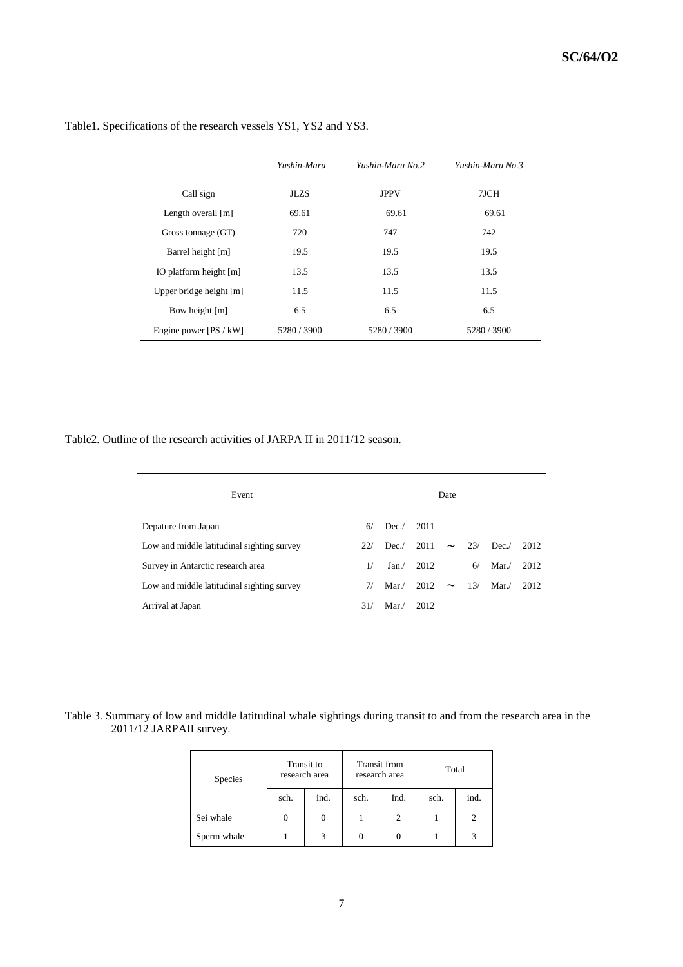|                         | Yushin-Maru | Yushin-Maru No. 2 | Yushin-Maru No. 3 |
|-------------------------|-------------|-------------------|-------------------|
| Call sign               | <b>JLZS</b> | <b>JPPV</b>       | 7JCH              |
| Length overall $[m]$    | 69.61       | 69.61             | 69.61             |
| Gross tonnage (GT)      | 720         | 747               | 742               |
| Barrel height [m]       | 19.5        | 19.5              | 19.5              |
| IO platform height [m]  | 13.5        | 13.5              | 13.5              |
| Upper bridge height [m] | 11.5        | 11.5              | 11.5              |
| Bow height [m]          | 6.5         | 6.5               | 6.5               |
| Engine power [PS / kW]  | 5280 / 3900 | 5280 / 3900       | 5280 / 3900       |

Table1. Specifications of the research vessels YS1, YS2 and YS3.

Table2. Outline of the research activities of JARPA II in 2011/12 season.

| Event                                      |     |      |      | Date                  |     |      |      |
|--------------------------------------------|-----|------|------|-----------------------|-----|------|------|
| Depature from Japan                        | 6/  | Dec. | 2011 |                       |     |      |      |
| Low and middle latitudinal sighting survey | 22/ | Dec. | 2011 | $\tilde{\phantom{a}}$ | 23/ | Dec. | 2012 |
| Survey in Antarctic research area          | 1/  | Jan. | 2012 |                       | 6/  | Mar/ | 2012 |
| Low and middle latitudinal sighting survey | 7/  | Mar/ | 2012 | $\tilde{\phantom{a}}$ | 13/ | Mar/ | 2012 |
| Arrival at Japan                           | 31/ | Mar/ | 2012 |                       |     |      |      |

Table 3. Summary of low and middle latitudinal whale sightings during transit to and from the research area in the 2011/12 JARPAII survey.

| Species     |      | Transit to<br>research area |      | Transit from<br>research area | Total |      |  |
|-------------|------|-----------------------------|------|-------------------------------|-------|------|--|
|             | sch. | ind.                        | sch. | Ind.                          | sch.  | ind. |  |
| Sei whale   |      | $\theta$                    |      | 2                             |       | 2    |  |
| Sperm whale |      | 3                           | 0    |                               |       |      |  |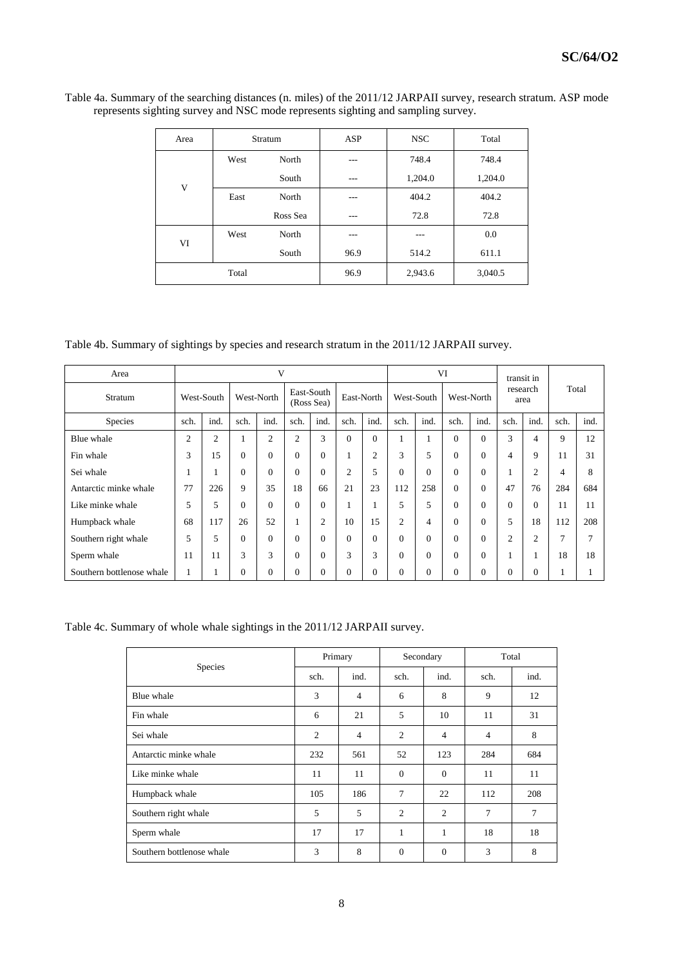| Area |       | Stratum  | ASP  | <b>NSC</b> | Total   |  |
|------|-------|----------|------|------------|---------|--|
|      | West  | North    | ---  | 748.4      | 748.4   |  |
| V    |       | South    | ---  | 1,204.0    | 1,204.0 |  |
|      | East  | North    | ---  | 404.2      | 404.2   |  |
|      |       | Ross Sea | ---  | 72.8       | 72.8    |  |
| VI   | West  | North    | ---  |            | 0.0     |  |
|      |       | South    | 96.9 | 514.2      | 611.1   |  |
|      | Total |          |      | 2,943.6    | 3,040.5 |  |

Table 4a. Summary of the searching distances (n. miles) of the 2011/12 JARPAII survey, research stratum. ASP mode represents sighting survey and NSC mode represents sighting and sampling survey.

Table 4b. Summary of sightings by species and research stratum in the 2011/12 JARPAII survey.

| Area                      |                | V              |          |                |                |                          |          |            | VI       |            |              |            | transit in     |                  |               |       |  |
|---------------------------|----------------|----------------|----------|----------------|----------------|--------------------------|----------|------------|----------|------------|--------------|------------|----------------|------------------|---------------|-------|--|
| Stratum                   |                | West-South     |          | West-North     |                | East-South<br>(Ross Sea) |          | East-North |          | West-South |              | West-North |                | research<br>area |               | Total |  |
| Species                   | sch.           | ind.           | sch.     | ind.           | sch.           | ind.                     | sch.     | ind.       | sch.     | ind.       | sch.         | ind.       | sch.           | ind.             | sch.          | ind.  |  |
| Blue whale                | $\overline{2}$ | $\mathfrak{2}$ |          | $\overline{2}$ | $\overline{2}$ | 3                        | $\Omega$ | $\Omega$   |          |            | $\Omega$     | $\Omega$   | 3              | 4                | 9             | 12    |  |
| Fin whale                 | 3              | 15             | $\Omega$ | $\Omega$       | $\Omega$       | $\Omega$                 |          | 2          | 3        | 5          | $\Omega$     | $\Omega$   | 4              | 9                | 11            | 31    |  |
| Sei whale                 |                |                | $\Omega$ | $\Omega$       | $\Omega$       | $\Omega$                 | 2        | 5          | $\Omega$ | $\Omega$   | $\Omega$     | $\theta$   |                | $\overline{2}$   | 4             | 8     |  |
| Antarctic minke whale     | 77             | 226            | 9        | 35             | 18             | 66                       | 21       | 23         | 112      | 258        | $\Omega$     | $\Omega$   | 47             | 76               | 284           | 684   |  |
| Like minke whale          | 5              | 5              | $\Omega$ | $\Omega$       | $\Omega$       | $\Omega$                 |          |            | 5        | 5          | $\mathbf{0}$ | $\Omega$   | $\Omega$       | $\Omega$         | 11            | 11    |  |
| Humpback whale            | 68             | 117            | 26       | 52             |                | $\overline{2}$           | 10       | 15         | 2        | 4          | $\mathbf{0}$ | $\theta$   | 5              | 18               | 112           | 208   |  |
| Southern right whale      | 5              | 5              | $\Omega$ | $\Omega$       | $\Omega$       | 0                        | $\Omega$ | $\Omega$   | $\Omega$ | $\theta$   | $\mathbf{0}$ | $\theta$   | $\overline{2}$ | $\overline{2}$   | $\mathcal{L}$ | ┑     |  |
| Sperm whale               | 11             | 11             | 3        | 3              | $\Omega$       | 0                        | 3        | 3          | $\theta$ | $\theta$   | $\mathbf{0}$ | $\theta$   |                | л.               | 18            | 18    |  |
| Southern bottlenose whale | 1              |                | 0        | $\Omega$       | $\Omega$       | $\Omega$                 | $\Omega$ | 0          | $\theta$ | $\theta$   | $\mathbf{0}$ | $\theta$   | $\Omega$       | $\Omega$         |               |       |  |

Table 4c. Summary of whole whale sightings in the 2011/12 JARPAII survey.

|                           | Primary        |                | Secondary      |                | Total          |      |  |
|---------------------------|----------------|----------------|----------------|----------------|----------------|------|--|
| <b>Species</b>            | sch.           | ind.           | sch.           | ind.           | sch.           | ind. |  |
| Blue whale                | 3              | $\overline{4}$ | 6              | 8              | 9              | 12   |  |
| Fin whale                 | 6              | 21             | 5              | 10             | 11             | 31   |  |
| Sei whale                 | $\overline{c}$ | $\overline{4}$ | $\overline{c}$ | $\overline{4}$ | $\overline{4}$ | 8    |  |
| Antarctic minke whale     | 232            | 561            | 52             | 123            | 284            | 684  |  |
| Like minke whale          | 11             | 11             | $\Omega$       | $\Omega$       | 11             | 11   |  |
| Humpback whale            | 105            | 186            | 7              | 22             | 112            | 208  |  |
| Southern right whale      | 5              | 5              | $\overline{2}$ | $\overline{2}$ | 7              | 7    |  |
| Sperm whale               | 17             | 17             | 1              | 1              | 18             | 18   |  |
| Southern bottlenose whale | 3              | 8              | $\mathbf{0}$   | $\mathbf{0}$   | 3              | 8    |  |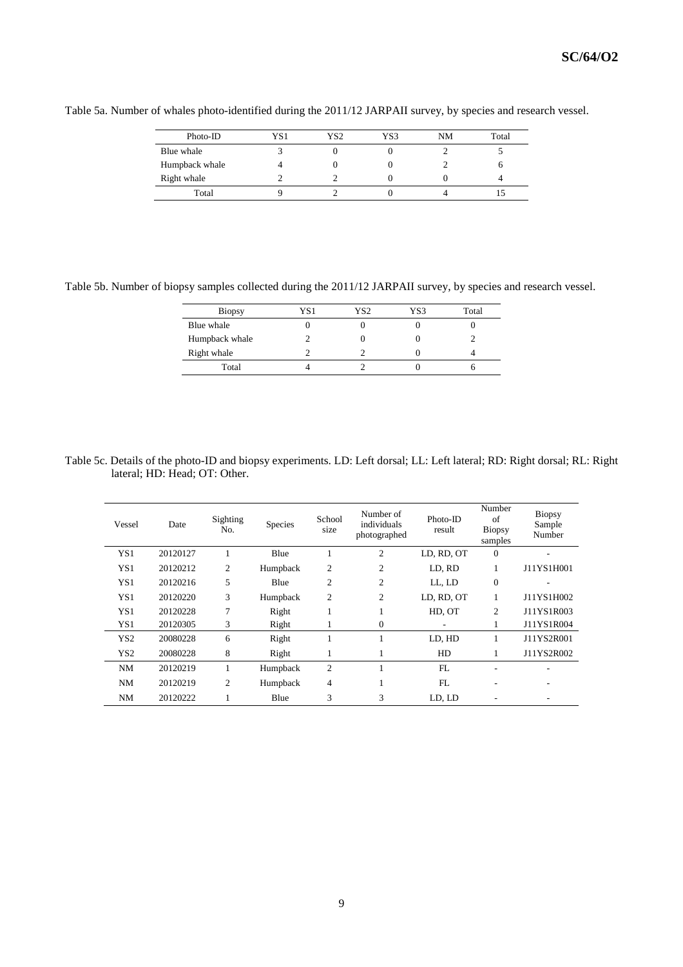| Photo-ID       | YS1 | YS2 | YS3 | NM | Total |
|----------------|-----|-----|-----|----|-------|
| Blue whale     |     |     |     |    |       |
| Humpback whale |     |     |     |    |       |
| Right whale    |     |     |     |    |       |
| Total          |     |     |     |    |       |

Table 5a. Number of whales photo-identified during the 2011/12 JARPAII survey, by species and research vessel.

Table 5b. Number of biopsy samples collected during the 2011/12 JARPAII survey, by species and research vessel.

| <b>Biopsy</b>  | YS 1 | YS <sub>2</sub> | YS3 | Total |
|----------------|------|-----------------|-----|-------|
| Blue whale     |      |                 |     |       |
| Humpback whale |      |                 |     |       |
| Right whale    |      |                 |     |       |
| Total          |      |                 |     |       |

Table 5c. Details of the photo-ID and biopsy experiments. LD: Left dorsal; LL: Left lateral; RD: Right dorsal; RL: Right lateral; HD: Head; OT: Other.

| Vessel          | Date     | Sighting<br>No. | <b>Species</b> | School<br>size | Number of<br>individuals<br>photographed | $Photo-ID$<br>result | Number<br>of<br><b>Biopsy</b><br>samples | <b>Biopsy</b><br>Sample<br>Number |
|-----------------|----------|-----------------|----------------|----------------|------------------------------------------|----------------------|------------------------------------------|-----------------------------------|
| YS <sub>1</sub> | 20120127 | 1               | Blue           | 1              | $\overline{2}$                           | LD, RD, OT           | $\theta$                                 | ٠                                 |
| YS <sub>1</sub> | 20120212 | $\overline{c}$  | Humpback       | $\overline{2}$ | $\overline{c}$                           | LD. RD               |                                          | J11YS1H001                        |
| YS <sub>1</sub> | 20120216 | 5               | Blue           | $\overline{2}$ | $\overline{c}$                           | LL, LD               | $\overline{0}$                           |                                   |
| YS1             | 20120220 | 3               | Humpback       | 2              | $\overline{2}$                           | LD, RD, OT           | 1                                        | J11YS1H002                        |
| YS1             | 20120228 | 7               | Right          | 1              |                                          | HD. OT               | $\overline{c}$                           | J11YS1R003                        |
| YS1             | 20120305 | 3               | Right          | 1              | $\mathbf{0}$                             |                      |                                          | J11YS1R004                        |
| YS <sub>2</sub> | 20080228 | 6               | Right          | 1              |                                          | LD, HD               |                                          | J11YS2R001                        |
| YS <sub>2</sub> | 20080228 | 8               | Right          | 1              | 1                                        | HD                   |                                          | J11YS2R002                        |
| NM              | 20120219 | 1               | Humpback       | $\overline{2}$ |                                          | FL                   |                                          |                                   |
| NM              | 20120219 | $\overline{c}$  | Humpback       | $\overline{4}$ |                                          | FL                   | ٠                                        |                                   |
| NM              | 20120222 |                 | Blue           | 3              | 3                                        | LD, LD               |                                          |                                   |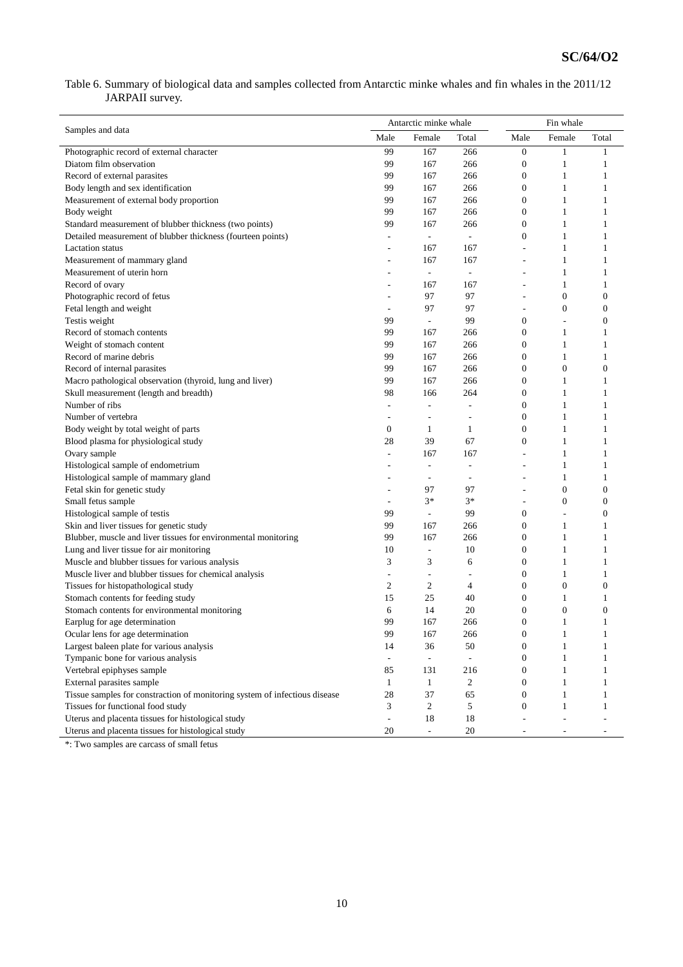Table 6. Summary of biological data and samples collected from Antarctic minke whales and fin whales in the 2011/12 JARPAII survey.

|                                                                            |                          | Antarctic minke whale    |                          | Fin whale                |                  |                  |  |
|----------------------------------------------------------------------------|--------------------------|--------------------------|--------------------------|--------------------------|------------------|------------------|--|
| Samples and data                                                           | Male                     | Female                   | Total                    | Male                     | Female           | Total            |  |
| Photographic record of external character                                  | 99                       | 167                      | 266                      | $\boldsymbol{0}$         | $\mathbf{1}$     | 1                |  |
| Diatom film observation                                                    | 99                       | 167                      | 266                      | $\mathbf{0}$             | $\mathbf{1}$     | 1                |  |
| Record of external parasites                                               | 99                       | 167                      | 266                      | $\mathbf{0}$             | 1                | 1                |  |
| Body length and sex identification                                         | 99                       | 167                      | 266                      | $\mathbf{0}$             | $\mathbf{1}$     | 1                |  |
| Measurement of external body proportion                                    | 99                       | 167                      | 266                      | $\boldsymbol{0}$         | $\mathbf{1}$     | 1                |  |
| Body weight                                                                | 99                       | 167                      | 266                      | $\boldsymbol{0}$         | $\mathbf{1}$     | 1                |  |
| Standard measurement of blubber thickness (two points)                     | 99                       | 167                      | 266                      | $\mathbf{0}$             | $\mathbf{1}$     | 1                |  |
| Detailed measurement of blubber thickness (fourteen points)                | ٠                        | $\overline{\phantom{a}}$ | $\overline{\phantom{a}}$ | $\mathbf{0}$             | $\mathbf{1}$     | 1                |  |
| <b>Lactation</b> status                                                    | ٠                        | 167                      | 167                      | $\overline{\phantom{a}}$ | $\mathbf{1}$     | 1                |  |
| Measurement of mammary gland                                               |                          | 167                      | 167                      | ÷,                       | $\mathbf{1}$     | 1                |  |
| Measurement of uterin horn                                                 |                          | $\Box$                   | $\overline{\phantom{a}}$ |                          | 1                | 1                |  |
| Record of ovary                                                            |                          | 167                      | 167                      |                          | $\mathbf{1}$     | 1                |  |
| Photographic record of fetus                                               | Ĭ.                       | 97                       | 97                       |                          | $\boldsymbol{0}$ | $\mathbf{0}$     |  |
| Fetal length and weight                                                    | ÷,                       | 97                       | 97                       | ÷,                       | $\boldsymbol{0}$ | $\mathbf{0}$     |  |
| Testis weight                                                              | 99                       | $\Box$                   | 99                       | $\boldsymbol{0}$         | L                | $\mathbf{0}$     |  |
| Record of stomach contents                                                 | 99                       | 167                      | 266                      | $\mathbf{0}$             | $\mathbf{1}$     | 1                |  |
| Weight of stomach content                                                  | 99                       | 167                      | 266                      | $\boldsymbol{0}$         | $\mathbf{1}$     | 1                |  |
| Record of marine debris                                                    | 99                       | 167                      | 266                      | $\boldsymbol{0}$         | $\mathbf{1}$     | 1                |  |
| Record of internal parasites                                               | 99                       | 167                      | 266                      | $\overline{0}$           | $\boldsymbol{0}$ | $\overline{0}$   |  |
| Macro pathological observation (thyroid, lung and liver)                   | 99                       | 167                      | 266                      | $\mathbf{0}$             | $\mathbf{1}$     | 1                |  |
| Skull measurement (length and breadth)                                     | 98                       | 166                      | 264                      | $\boldsymbol{0}$         | $\mathbf{1}$     | 1                |  |
| Number of ribs                                                             | ÷.                       | ÷,                       | $\overline{\phantom{a}}$ | $\boldsymbol{0}$         | $\mathbf{1}$     | 1                |  |
| Number of vertebra                                                         | $\overline{\phantom{a}}$ | $\overline{a}$           | $\overline{a}$           | $\overline{0}$           | 1                | 1                |  |
| Body weight by total weight of parts                                       | $\boldsymbol{0}$         | 1                        | 1                        | $\mathbf{0}$             | $\mathbf{1}$     | 1                |  |
| Blood plasma for physiological study                                       | 28                       | 39                       | 67                       | $\mathbf{0}$             | $\mathbf{1}$     | 1                |  |
| Ovary sample                                                               | ÷,                       | 167                      | 167                      | ÷,                       | $\mathbf{1}$     | 1                |  |
| Histological sample of endometrium                                         |                          | $\overline{\phantom{a}}$ | $\overline{\phantom{a}}$ | ٠                        | $\mathbf{1}$     | 1                |  |
| Histological sample of mammary gland                                       |                          | $\overline{a}$           | $\overline{\phantom{a}}$ |                          | $\mathbf{1}$     | 1                |  |
| Fetal skin for genetic study                                               | ٠                        | 97                       | 97                       |                          | $\boldsymbol{0}$ | $\mathbf{0}$     |  |
| Small fetus sample                                                         | $\overline{a}$           | $3*$                     | $3*$                     | ÷,                       | $\boldsymbol{0}$ | $\boldsymbol{0}$ |  |
| Histological sample of testis                                              | 99                       | $\overline{\phantom{a}}$ | 99                       | $\boldsymbol{0}$         | L                | $\mathbf{0}$     |  |
| Skin and liver tissues for genetic study                                   | 99                       | 167                      | 266                      | $\mathbf{0}$             | $\mathbf{1}$     | 1                |  |
| Blubber, muscle and liver tissues for environmental monitoring             | 99                       | 167                      | 266                      | $\boldsymbol{0}$         | $\mathbf{1}$     | 1                |  |
| Lung and liver tissue for air monitoring                                   | 10                       | $\overline{\phantom{a}}$ | 10                       | $\boldsymbol{0}$         | $\mathbf{1}$     | 1                |  |
| Muscle and blubber tissues for various analysis                            | 3                        | 3                        | 6                        | $\overline{0}$           | $\mathbf{1}$     | 1                |  |
| Muscle liver and blubber tissues for chemical analysis                     | ÷,                       | $\blacksquare$           | ٠                        | $\mathbf{0}$             | $\mathbf{1}$     | 1                |  |
| Tissues for histopathological study                                        | $\mathfrak{2}$           | $\overline{c}$           | 4                        | $\mathbf{0}$             | $\boldsymbol{0}$ | $\overline{0}$   |  |
| Stomach contents for feeding study                                         | 15                       | 25                       | 40                       | $\mathbf{0}$             | $\mathbf{1}$     | 1                |  |
| Stomach contents for environmental monitoring                              | 6                        | 14                       | 20                       | $\mathbf{0}$             | $\boldsymbol{0}$ | $\overline{0}$   |  |
| Earplug for age determination                                              | 99                       | 167                      | 266                      | $\theta$                 | 1                | 1                |  |
| Ocular lens for age determination                                          | 99                       | 167                      | 266                      | $\boldsymbol{0}$         | $\mathbf{1}$     | $\mathbf{1}$     |  |
| Largest baleen plate for various analysis                                  | 14                       | 36                       | 50                       | $\boldsymbol{0}$         | $\mathbf{1}$     | 1                |  |
| Tympanic bone for various analysis                                         | $\overline{\phantom{a}}$ | $\overline{\phantom{a}}$ | $\overline{\phantom{a}}$ | $\mathbf{0}$             | $\mathbf{1}$     | 1                |  |
| Vertebral epiphyses sample                                                 | 85                       | 131                      | 216                      | $\boldsymbol{0}$         | $\mathbf{1}$     | 1                |  |
| External parasites sample                                                  | $\mathbf{1}$             | $\mathbf{1}$             | $\overline{c}$           | $\boldsymbol{0}$         | $\mathbf{1}$     | 1                |  |
| Tissue samples for constraction of monitoring system of infectious disease | 28                       | 37                       | 65                       | $\boldsymbol{0}$         | $\mathbf{1}$     | 1                |  |
| Tissues for functional food study                                          | 3                        | $\overline{c}$           | 5                        | $\boldsymbol{0}$         | $\mathbf{1}$     | 1                |  |
| Uterus and placenta tissues for histological study                         | $\overline{\phantom{a}}$ | 18                       | 18                       |                          |                  |                  |  |
| Uterus and placenta tissues for histological study                         | 20                       | $\Box$                   | 20                       |                          |                  |                  |  |

\*: Two samples are carcass of small fetus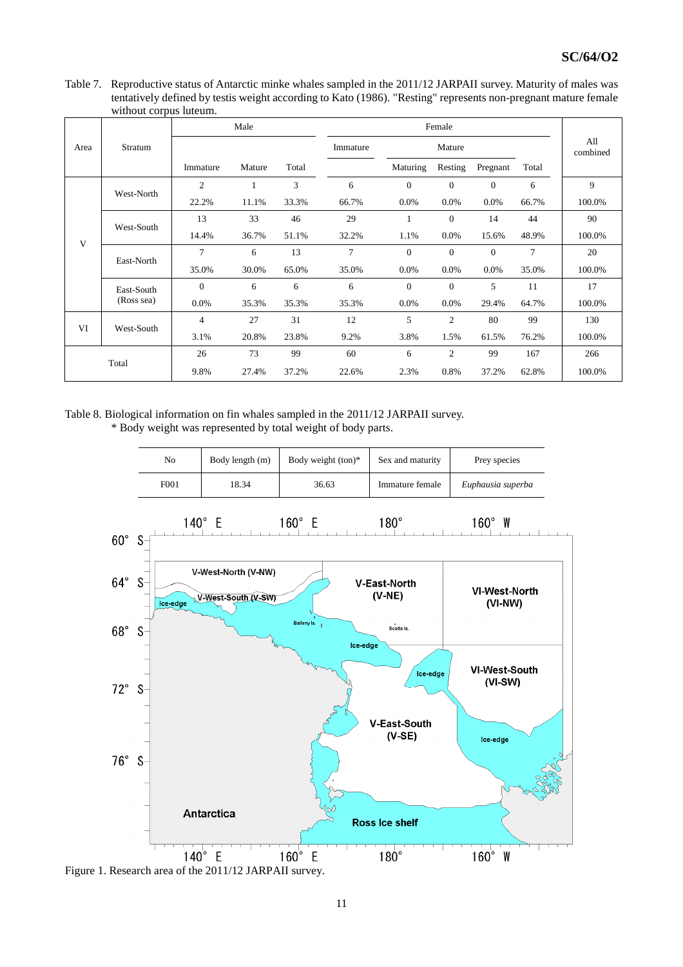Table 7. Reproductive status of Antarctic minke whales sampled in the 2011/12 JARPAII survey. Maturity of males was tentatively defined by testis weight according to Kato (1986). "Resting" represents non-pregnant mature female without corpus luteum.

|            |            |                | Male   |       |          |              | Female         |              |        |                 |  |
|------------|------------|----------------|--------|-------|----------|--------------|----------------|--------------|--------|-----------------|--|
| Area       | Stratum    |                |        |       | Immature |              | Mature         |              |        | All<br>combined |  |
|            |            | Immature       | Mature | Total |          | Maturing     | Resting        | Pregnant     | Total  |                 |  |
|            | West-North | $\mathfrak{2}$ |        | 3     | 6        | $\Omega$     | $\Omega$       | $\Omega$     | 6      | 9               |  |
|            |            | 22.2%          | 11.1%  | 33.3% | 66.7%    | 0.0%         | 0.0%           | 0.0%         | 66.7%  | 100.0%          |  |
| West-South | 13         | 33             | 46     | 29    | 1        | $\mathbf{0}$ | 14             | 44           | 90     |                 |  |
|            | V          | 14.4%          | 36.7%  | 51.1% | 32.2%    | 1.1%         | 0.0%           | 15.6%        | 48.9%  | 100.0%          |  |
|            |            | $\overline{7}$ | 6      | 13    | $\tau$   | $\mathbf{0}$ | $\overline{0}$ | $\mathbf{0}$ | $\tau$ | 20              |  |
|            | East-North | 35.0%          | 30.0%  | 65.0% | 35.0%    | 0.0%         | $0.0\%$        | 0.0%         | 35.0%  | 100.0%          |  |
|            | East-South | $\Omega$       | 6      | 6     | 6        | $\mathbf{0}$ | $\overline{0}$ | 5            | 11     | 17              |  |
|            | (Ross sea) | 0.0%           | 35.3%  | 35.3% | 35.3%    | 0.0%         | $0.0\%$        | 29.4%        | 64.7%  | 100.0%          |  |
| VI         |            | $\overline{4}$ | 27     | 31    | 12       | 5            | $\mathfrak{2}$ | 80           | 99     | 130             |  |
|            | West-South | 3.1%           | 20.8%  | 23.8% | 9.2%     | 3.8%         | 1.5%           | 61.5%        | 76.2%  | 100.0%          |  |
|            |            | 26             | 73     | 99    | 60       | 6            | $\overline{c}$ | 99           | 167    | 266             |  |
|            | Total      | 9.8%           | 27.4%  | 37.2% | 22.6%    | 2.3%         | 0.8%           | 37.2%        | 62.8%  | 100.0%          |  |

Table 8. Biological information on fin whales sampled in the 2011/12 JARPAII survey.

\* Body weight was represented by total weight of body parts.



Figure 1. Research area of the 2011/12 JARPAII survey.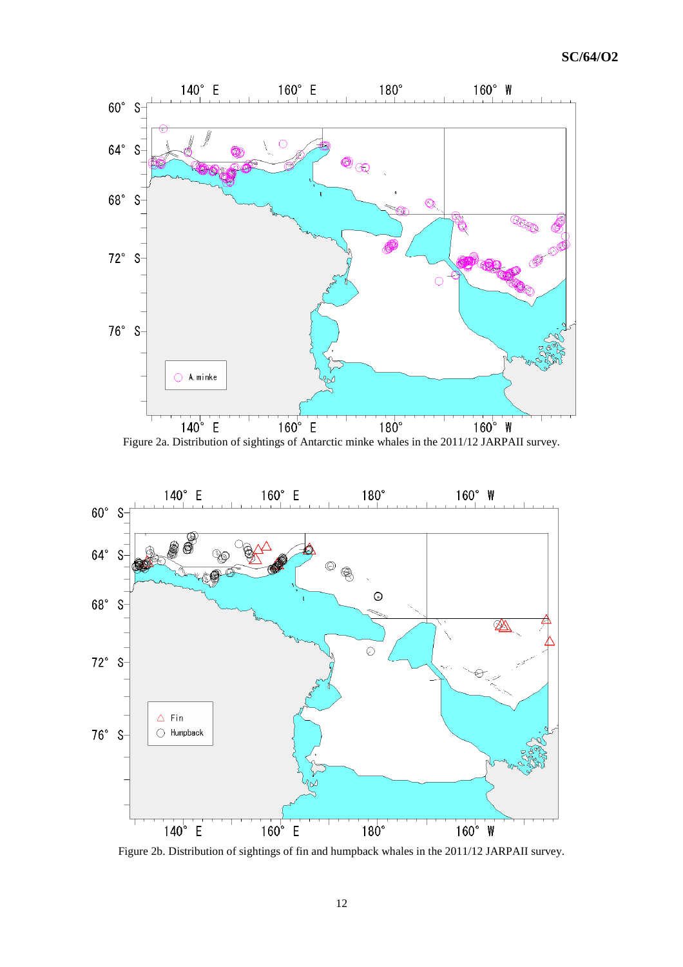

Figure 2a. Distribution of sightings of Antarctic minke whales in the 2011/12 JARPAII survey.



Figure 2b. Distribution of sightings of fin and humpback whales in the 2011/12 JARPAII survey.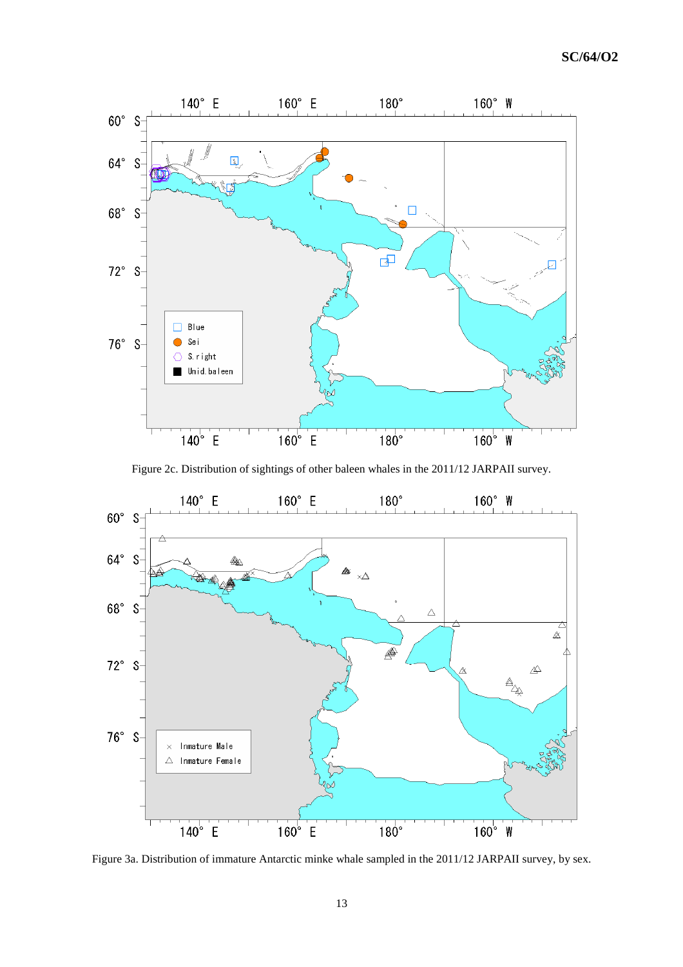

Figure 2c. Distribution of sightings of other baleen whales in the 2011/12 JARPAII survey.



Figure 3a. Distribution of immature Antarctic minke whale sampled in the 2011/12 JARPAII survey, by sex.